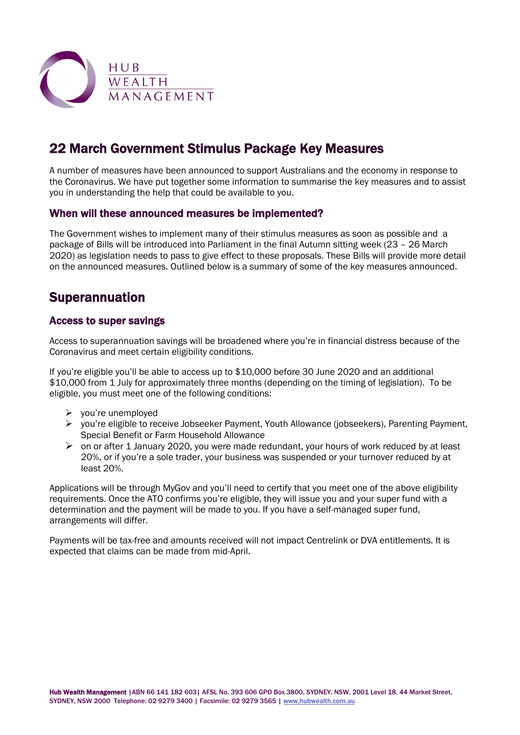

# 22 March Government Stimulus Package Key Measures

A number of measures have been announced to support Australians and the economy in response to the Coronavirus. We have put together some information to summarise the key measures and to assist you in understanding the help that could be available to you.

### When will these announced measures be implemented?

The Government wishes to implement many of their stimulus measures as soon as possible and a package of Bills will be introduced into Parliament in the final Autumn sitting week (23 – 26 March 2020) as legislation needs to pass to give effect to these proposals. These Bills will provide more detail on the announced measures. Outlined below is a summary of some of the key measures announced.

# Superannuation

### Access to super savings

Access to superannuation savings will be broadened where you're in financial distress because of the Coronavirus and meet certain eligibility conditions.

If you're eligible you'll be able to access up to \$10,000 before 30 June 2020 and an additional \$10,000 from 1 July for approximately three months (depending on the timing of legislation). To be eligible, you must meet one of the following conditions:

- $\triangleright$  you're unemployed
- $\triangleright$  you're eligible to receive Jobseeker Payment, Youth Allowance (jobseekers), Parenting Payment, Special Benefit or Farm Household Allowance
- $\triangleright$  on or after 1 January 2020, you were made redundant, your hours of work reduced by at least 20%, or if you're a sole trader, your business was suspended or your turnover reduced by at least 20%.

Applications will be through MyGov and you'll need to certify that you meet one of the above eligibility requirements. Once the ATO confirms you're eligible, they will issue you and your super fund with a determination and the payment will be made to you. If you have a self-managed super fund, arrangements will differ.

Payments will be tax-free and amounts received will not impact Centrelink or DVA entitlements. It is expected that claims can be made from mid-April.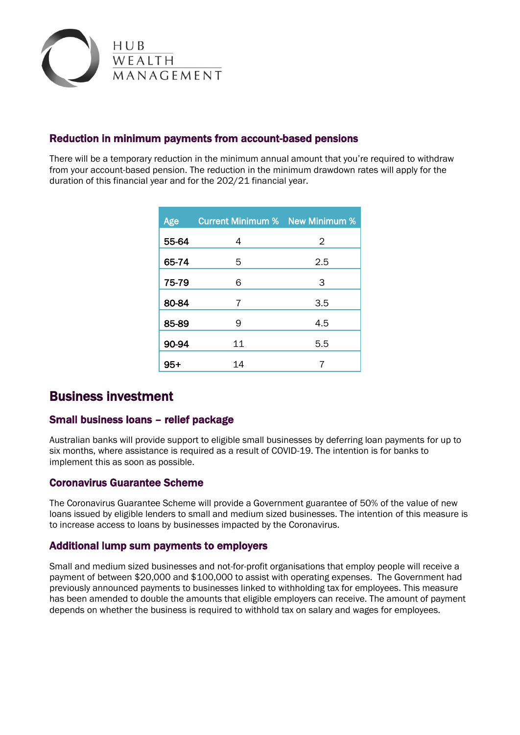

## Reduction in minimum payments from account-based pensions

There will be a temporary reduction in the minimum annual amount that you're required to withdraw from your account-based pension. The reduction in the minimum drawdown rates will apply for the duration of this financial year and for the 202/21 financial year.

| Age   | <b>Current Minimum %</b> New Minimum % |     |
|-------|----------------------------------------|-----|
| 55-64 | 4                                      | 2   |
| 65-74 | 5                                      | 2.5 |
| 75-79 | 6                                      | 3   |
| 80-84 | 7                                      | 3.5 |
| 85-89 | 9                                      | 4.5 |
| 90-94 | 11                                     | 5.5 |
| $95+$ | 14                                     |     |

# Business investment

### Small business loans – relief package

Australian banks will provide support to eligible small businesses by deferring loan payments for up to six months, where assistance is required as a result of COVID-19. The intention is for banks to implement this as soon as possible.

### Coronavirus Guarantee Scheme

The Coronavirus Guarantee Scheme will provide a Government guarantee of 50% of the value of new loans issued by eligible lenders to small and medium sized businesses. The intention of this measure is to increase access to loans by businesses impacted by the Coronavirus.

#### Additional lump sum payments to employers

Small and medium sized businesses and not-for-profit organisations that employ people will receive a payment of between \$20,000 and \$100,000 to assist with operating expenses. The Government had previously announced payments to businesses linked to withholding tax for employees. This measure has been amended to double the amounts that eligible employers can receive. The amount of payment depends on whether the business is required to withhold tax on salary and wages for employees.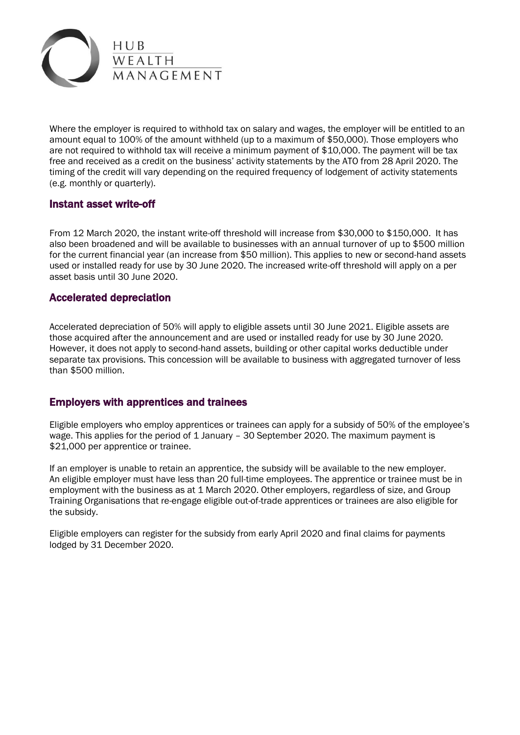

Where the employer is required to withhold tax on salary and wages, the employer will be entitled to an amount equal to 100% of the amount withheld (up to a maximum of \$50,000). Those employers who are not required to withhold tax will receive a minimum payment of \$10,000. The payment will be tax free and received as a credit on the business' activity statements by the ATO from 28 April 2020. The timing of the credit will vary depending on the required frequency of lodgement of activity statements (e.g. monthly or quarterly).

#### Instant asset write-off

From 12 March 2020, the instant write-off threshold will increase from \$30,000 to \$150,000. It has also been broadened and will be available to businesses with an annual turnover of up to \$500 million for the current financial year (an increase from \$50 million). This applies to new or second-hand assets used or installed ready for use by 30 June 2020. The increased write-off threshold will apply on a per asset basis until 30 June 2020.

### Accelerated depreciation

Accelerated depreciation of 50% will apply to eligible assets until 30 June 2021. Eligible assets are those acquired after the announcement and are used or installed ready for use by 30 June 2020. However, it does not apply to second-hand assets, building or other capital works deductible under separate tax provisions. This concession will be available to business with aggregated turnover of less than \$500 million.

### Employers with apprentices and trainees

Eligible employers who employ apprentices or trainees can apply for a subsidy of 50% of the employee's wage. This applies for the period of 1 January – 30 September 2020. The maximum payment is \$21,000 per apprentice or trainee.

If an employer is unable to retain an apprentice, the subsidy will be available to the new employer. An eligible employer must have less than 20 full-time employees. The apprentice or trainee must be in employment with the business as at 1 March 2020. Other employers, regardless of size, and Group Training Organisations that re-engage eligible out-of-trade apprentices or trainees are also eligible for the subsidy.

Eligible employers can register for the subsidy from early April 2020 and final claims for payments lodged by 31 December 2020.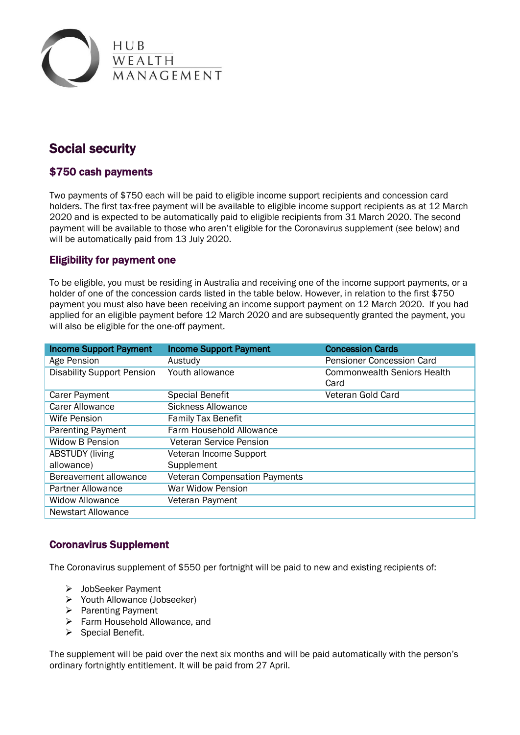

# Social security

## \$750 cash payments

Two payments of \$750 each will be paid to eligible income support recipients and concession card holders. The first tax-free payment will be available to eligible income support recipients as at 12 March 2020 and is expected to be automatically paid to eligible recipients from 31 March 2020. The second payment will be available to those who aren't eligible for the Coronavirus supplement (see below) and will be automatically paid from 13 July 2020.

## Eligibility for payment one

To be eligible, you must be residing in Australia and receiving one of the income support payments, or a holder of one of the concession cards listed in the table below. However, in relation to the first \$750 payment you must also have been receiving an income support payment on 12 March 2020. If you had applied for an eligible payment before 12 March 2020 and are subsequently granted the payment, you will also be eligible for the one-off payment.

| <b>Income Support Payment</b>     | <b>Income Support Payment</b>        | <b>Concession Cards</b>            |
|-----------------------------------|--------------------------------------|------------------------------------|
| Age Pension                       | Austudy                              | Pensioner Concession Card          |
| <b>Disability Support Pension</b> | Youth allowance                      | <b>Commonwealth Seniors Health</b> |
|                                   |                                      | Card                               |
| Carer Payment                     | <b>Special Benefit</b>               | Veteran Gold Card                  |
| <b>Carer Allowance</b>            | <b>Sickness Allowance</b>            |                                    |
| Wife Pension                      | <b>Family Tax Benefit</b>            |                                    |
| <b>Parenting Payment</b>          | Farm Household Allowance             |                                    |
| <b>Widow B Pension</b>            | <b>Veteran Service Pension</b>       |                                    |
| <b>ABSTUDY (living</b>            | Veteran Income Support               |                                    |
| allowance)                        | Supplement                           |                                    |
| Bereavement allowance             | <b>Veteran Compensation Payments</b> |                                    |
| <b>Partner Allowance</b>          | War Widow Pension                    |                                    |
| <b>Widow Allowance</b>            | Veteran Payment                      |                                    |
| <b>Newstart Allowance</b>         |                                      |                                    |

### Coronavirus Supplement

The Coronavirus supplement of \$550 per fortnight will be paid to new and existing recipients of:

- > JobSeeker Payment
- Youth Allowance (Jobseeker)
- $\triangleright$  Parenting Payment
- ▶ Farm Household Allowance, and
- $\triangleright$  Special Benefit.

The supplement will be paid over the next six months and will be paid automatically with the person's ordinary fortnightly entitlement. It will be paid from 27 April.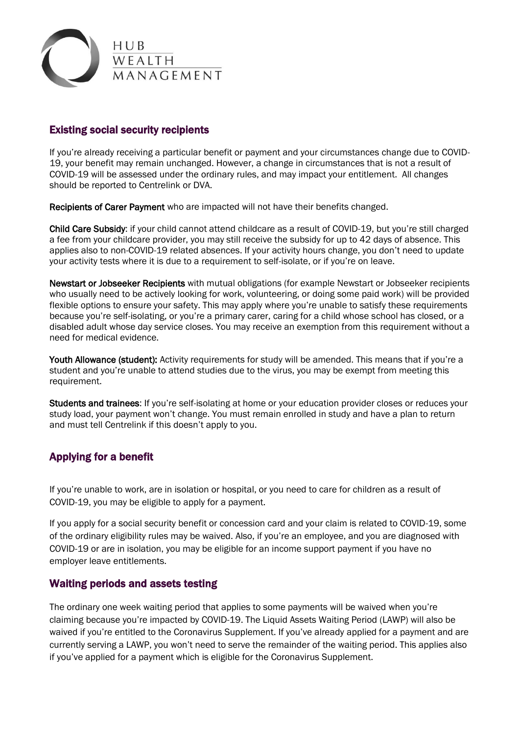

# Existing social security recipients

If you're already receiving a particular benefit or payment and your circumstances change due to COVID-19, your benefit may remain unchanged. However, a change in circumstances that is not a result of COVID-19 will be assessed under the ordinary rules, and may impact your entitlement. All changes should be reported to Centrelink or DVA.

Recipients of Carer Payment who are impacted will not have their benefits changed.

Child Care Subsidy: if your child cannot attend childcare as a result of COVID-19, but you're still charged a fee from your childcare provider, you may still receive the subsidy for up to 42 days of absence. This applies also to non-COVID-19 related absences. If your activity hours change, you don't need to update your activity tests where it is due to a requirement to self-isolate, or if you're on leave.

Newstart or Jobseeker Recipients with mutual obligations (for example Newstart or Jobseeker recipients who usually need to be actively looking for work, volunteering, or doing some paid work) will be provided flexible options to ensure your safety. This may apply where you're unable to satisfy these requirements because you're self-isolating, or you're a primary carer, caring for a child whose school has closed, or a disabled adult whose day service closes. You may receive an exemption from this requirement without a need for medical evidence.

Youth Allowance (student): Activity requirements for study will be amended. This means that if you're a student and you're unable to attend studies due to the virus, you may be exempt from meeting this requirement.

Students and trainees: If you're self-isolating at home or your education provider closes or reduces your study load, your payment won't change. You must remain enrolled in study and have a plan to return and must tell Centrelink if this doesn't apply to you.

# Applying for a benefit

If you're unable to work, are in isolation or hospital, or you need to care for children as a result of COVID-19, you may be eligible to apply for a payment.

If you apply for a social security benefit or concession card and your claim is related to COVID-19, some of the ordinary eligibility rules may be waived. Also, if you're an employee, and you are diagnosed with COVID-19 or are in isolation, you may be eligible for an income support payment if you have no employer leave entitlements.

### Waiting periods and assets testing

The ordinary one week waiting period that applies to some payments will be waived when you're claiming because you're impacted by COVID-19. The Liquid Assets Waiting Period (LAWP) will also be waived if you're entitled to the Coronavirus Supplement. If you've already applied for a payment and are currently serving a LAWP, you won't need to serve the remainder of the waiting period. This applies also if you've applied for a payment which is eligible for the Coronavirus Supplement.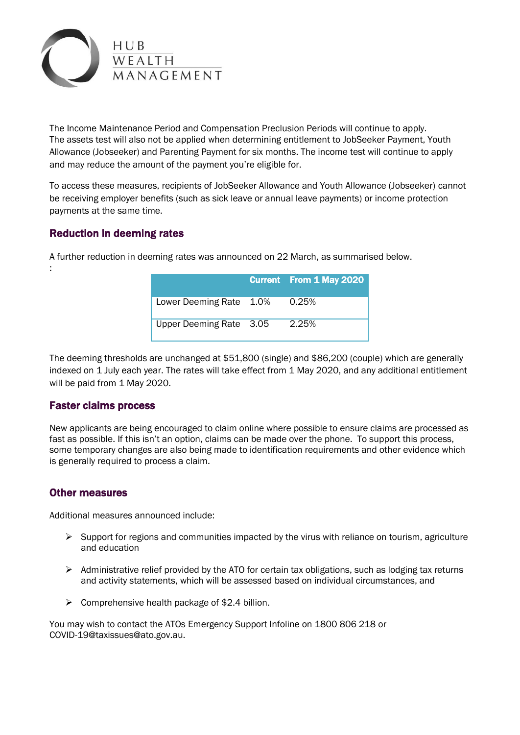

The Income Maintenance Period and Compensation Preclusion Periods will continue to apply. The assets test will also not be applied when determining entitlement to JobSeeker Payment, Youth Allowance (Jobseeker) and Parenting Payment for six months. The income test will continue to apply and may reduce the amount of the payment you're eligible for.

To access these measures, recipients of JobSeeker Allowance and Youth Allowance (Jobseeker) cannot be receiving employer benefits (such as sick leave or annual leave payments) or income protection payments at the same time.

# Reduction in deeming rates

:

|                         | <b>Current</b> From 1 May 2020 |
|-------------------------|--------------------------------|
| Lower Deeming Rate 1.0% | 0.25%                          |
| Upper Deeming Rate 3.05 | 2.25%                          |

A further reduction in deeming rates was announced on 22 March, as summarised below.

The deeming thresholds are unchanged at \$51,800 (single) and \$86,200 (couple) which are generally indexed on 1 July each year. The rates will take effect from 1 May 2020, and any additional entitlement will be paid from 1 May 2020.

### Faster claims process

New applicants are being encouraged to claim online where possible to ensure claims are processed as fast as possible. If this isn't an option, claims can be made over the phone. To support this process, some temporary changes are also being made to identification requirements and other evidence which is generally required to process a claim.

### Other measures

Additional measures announced include:

- $\triangleright$  Support for regions and communities impacted by the virus with reliance on tourism, agriculture and education
- $\triangleright$  Administrative relief provided by the ATO for certain tax obligations, such as lodging tax returns and activity statements, which will be assessed based on individual circumstances, and
- $\triangleright$  Comprehensive health package of \$2.4 billion.

You may wish to contact the ATOs Emergency Support Infoline on 1800 806 218 or COVID-19@taxissues@ato.gov.au.